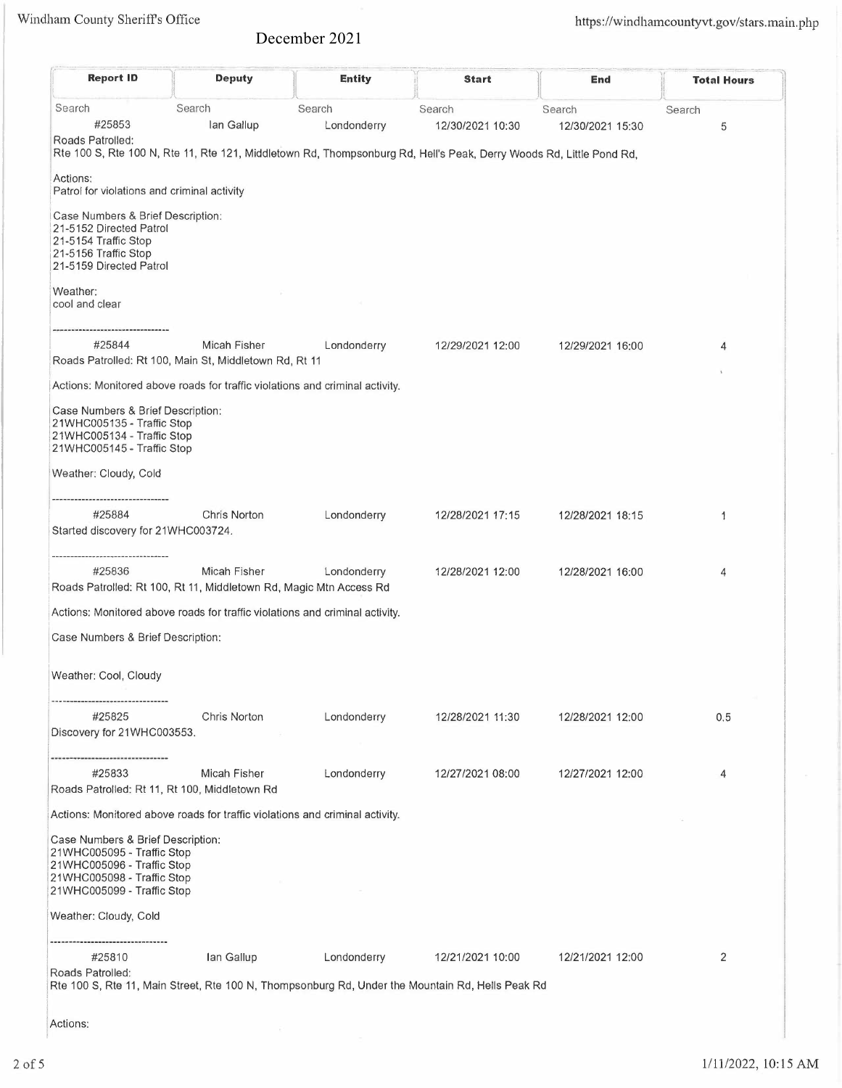## December 2021

| <b>Report ID</b>                                                                                                                        | <b>Deputy</b>                                                          | <b>Entity</b>                                                                                                                                | <b>Start</b>               | End                        | <b>Total Hours</b> |
|-----------------------------------------------------------------------------------------------------------------------------------------|------------------------------------------------------------------------|----------------------------------------------------------------------------------------------------------------------------------------------|----------------------------|----------------------------|--------------------|
| Search<br>#25853<br>Roads Patrolled:                                                                                                    | Search<br>lan Gallup                                                   | Search<br>Londonderry<br>Rte 100 S, Rte 100 N, Rte 11, Rte 121, Middletown Rd, Thompsonburg Rd, Hell's Peak, Derry Woods Rd, Little Pond Rd, | Search<br>12/30/2021 10:30 | Search<br>12/30/2021 15:30 | Search<br>5        |
| Actions:<br>Patrol for violations and criminal activity                                                                                 |                                                                        |                                                                                                                                              |                            |                            |                    |
| Case Numbers & Brief Description:<br>21-5152 Directed Patrol<br>21-5154 Traffic Stop<br>21-5156 Traffic Stop<br>21-5159 Directed Patrol |                                                                        |                                                                                                                                              |                            |                            |                    |
| Weather:<br>cool and clear                                                                                                              |                                                                        |                                                                                                                                              |                            |                            |                    |
|                                                                                                                                         |                                                                        |                                                                                                                                              |                            |                            |                    |
| #25844                                                                                                                                  | Micah Fisher<br>Roads Patrolled: Rt 100, Main St, Middletown Rd, Rt 11 | Londonderry                                                                                                                                  | 12/29/2021 12:00           | 12/29/2021 16:00           | 4                  |
| Actions: Monitored above roads for traffic violations and criminal activity.                                                            |                                                                        |                                                                                                                                              |                            |                            |                    |
| Case Numbers & Brief Description:<br>21WHC005135 - Traffic Stop<br>21WHC005134 - Traffic Stop<br>21WHC005145 - Traffic Stop             |                                                                        |                                                                                                                                              |                            |                            |                    |
| Weather: Cloudy, Cold                                                                                                                   |                                                                        |                                                                                                                                              |                            |                            |                    |
| #25884<br>Started discovery for 21WHC003724.                                                                                            | Chris Norton                                                           | Londonderry                                                                                                                                  | 12/28/2021 17:15           | 12/28/2021 18:15           | 1                  |
| #25836<br>Roads Patrolled: Rt 100, Rt 11, Middletown Rd, Magic Mtn Access Rd                                                            | Micah Fisher                                                           | Londonderry                                                                                                                                  | 12/28/2021 12:00           | 12/28/2021 16:00           | 4                  |
| Actions: Monitored above roads for traffic violations and criminal activity.                                                            |                                                                        |                                                                                                                                              |                            |                            |                    |
| Case Numbers & Brief Description:                                                                                                       |                                                                        |                                                                                                                                              |                            |                            |                    |
| Weather: Cool, Cloudy                                                                                                                   |                                                                        |                                                                                                                                              |                            |                            |                    |
| #25825<br>Discovery for 21WHC003553.                                                                                                    | Chris Norton                                                           | Londonderry                                                                                                                                  | 12/28/2021 11:30           | 12/28/2021 12:00           | 0.5                |
| #25833<br>Roads Patrolled: Rt 11, Rt 100, Middletown Rd                                                                                 | Micah Fisher                                                           | Londonderry                                                                                                                                  | 12/27/2021 08:00           | 12/27/2021 12:00           | 4                  |
| Actions: Monitored above roads for traffic violations and criminal activity.                                                            |                                                                        |                                                                                                                                              |                            |                            |                    |
| Case Numbers & Brief Description:<br>21WHC005095 - Traffic Stop<br>21WHC005096 - Traffic Stop<br>21WHC005098 - Traffic Stop             |                                                                        |                                                                                                                                              |                            |                            |                    |
| 21WHC005099 - Traffic Stop                                                                                                              |                                                                        |                                                                                                                                              |                            |                            |                    |
| Weather: Cloudy, Cold<br>-------------------------                                                                                      |                                                                        |                                                                                                                                              |                            |                            |                    |
| #25810<br>Roads Patrolled:                                                                                                              | Ian Gallup                                                             | Londonderry<br>Rte 100 S, Rte 11, Main Street, Rte 100 N, Thompsonburg Rd, Under the Mountain Rd, Hells Peak Rd                              | 12/21/2021 10:00           | 12/21/2021 12:00           | 2                  |
|                                                                                                                                         |                                                                        |                                                                                                                                              |                            |                            |                    |

Actions: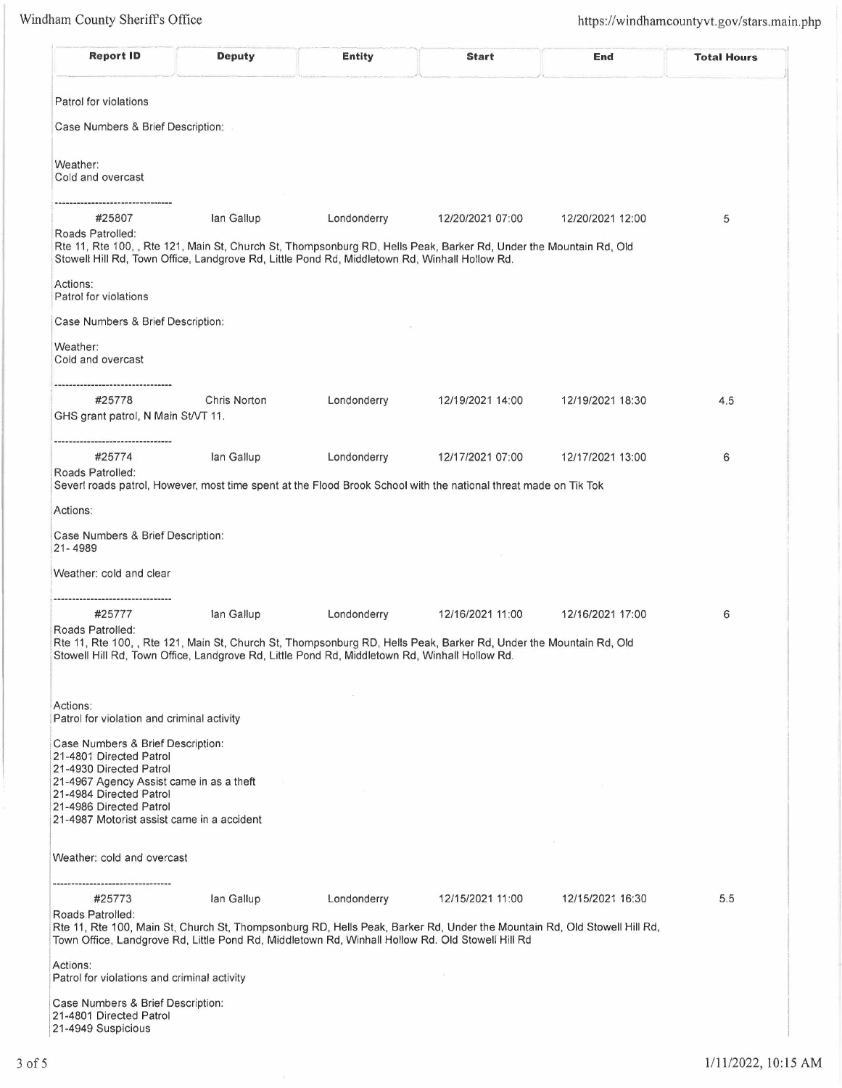| <b>Report ID</b>                                                                                                     | Deputy       | <b>Entity</b> | <b>Start</b>                                                                                                             | End              | <b>Total Hours</b> |
|----------------------------------------------------------------------------------------------------------------------|--------------|---------------|--------------------------------------------------------------------------------------------------------------------------|------------------|--------------------|
| Patrol for violations                                                                                                |              |               |                                                                                                                          |                  |                    |
| Case Numbers & Brief Description:                                                                                    |              |               |                                                                                                                          |                  |                    |
| Weather:<br>Cold and overcast                                                                                        |              |               |                                                                                                                          |                  |                    |
| -----------------------------<br>#25807<br>Roads Patrolled:                                                          | lan Gallup   | Londonderry   | 12/20/2021 07:00                                                                                                         | 12/20/2021 12:00 | 5                  |
| Stowell Hill Rd, Town Office, Landgrove Rd, Little Pond Rd, Middletown Rd, Winhall Hollow Rd.                        |              |               | Rte 11, Rte 100, , Rte 121, Main St, Church St, Thompsonburg RD, Hells Peak, Barker Rd, Under the Mountain Rd, Old       |                  |                    |
| Actions:<br>Patrol for violations                                                                                    |              |               |                                                                                                                          |                  |                    |
| Case Numbers & Brief Description:                                                                                    |              |               |                                                                                                                          |                  |                    |
| Weather:<br>Cold and overcast                                                                                        |              |               |                                                                                                                          |                  |                    |
| <br>#25778                                                                                                           | Chris Norton | Londonderry   | 12/19/2021 14:00                                                                                                         | 12/19/2021 18:30 | 4.5                |
| GHS grant patrol, N Main St/VT 11.<br>----------------------------------                                             |              |               |                                                                                                                          |                  |                    |
| #25774                                                                                                               | lan Gallup   | Londonderry   | 12/17/2021 07:00                                                                                                         | 12/17/2021 13:00 | 6                  |
| Roads Patrolled:                                                                                                     |              |               | Severl roads patrol, However, most time spent at the Flood Brook School with the national threat made on Tik Tok         |                  |                    |
| Actions:                                                                                                             |              |               |                                                                                                                          |                  |                    |
| Case Numbers & Brief Description:<br>21-4989                                                                         |              |               |                                                                                                                          |                  |                    |
| Weather: cold and clear                                                                                              |              |               |                                                                                                                          |                  |                    |
| #25777                                                                                                               | lan Gallup   | Londonderry   | 12/16/2021 11:00                                                                                                         | 12/16/2021 17:00 | 6                  |
| Roads Patrolled:                                                                                                     |              |               | Rte 11, Rte 100, , Rte 121, Main St, Church St, Thompsonburg RD, Hells Peak, Barker Rd, Under the Mountain Rd, Old       |                  |                    |
| Stowell Hill Rd, Town Office, Landgrove Rd, Little Pond Rd, Middletown Rd, Winhall Hollow Rd.                        |              |               |                                                                                                                          |                  |                    |
| Actions:                                                                                                             |              |               |                                                                                                                          |                  |                    |
| Patrol for violation and criminal activity<br>Case Numbers & Brief Description:                                      |              |               |                                                                                                                          |                  |                    |
| 21-4801 Directed Patrol<br>21-4930 Directed Patrol                                                                   |              |               |                                                                                                                          |                  |                    |
| 21-4967 Agency Assist came in as a theft<br>21-4984 Directed Patrol                                                  |              |               |                                                                                                                          |                  |                    |
| 21-4986 Directed Patrol<br>21-4987 Motorist assist came in a accident                                                |              |               |                                                                                                                          |                  |                    |
| Weather: cold and overcast                                                                                           |              |               |                                                                                                                          |                  |                    |
| #25773                                                                                                               | lan Gallup   | Londonderry   | 12/15/2021 11:00                                                                                                         | 12/15/2021 16:30 | 5.5                |
| Roads Patrolled:<br>Town Office, Landgrove Rd, Little Pond Rd, Middletown Rd, Winhall Hollow Rd. Old Stowell Hill Rd |              |               | Rte 11, Rte 100, Main St, Church St, Thompsonburg RD, Hells Peak, Barker Rd, Under the Mountain Rd, Old Stowell Hill Rd, |                  |                    |
| Actions:<br>Patrol for violations and criminal activity                                                              |              |               |                                                                                                                          |                  |                    |
| Case Numbers & Brief Description:                                                                                    |              |               |                                                                                                                          |                  |                    |
| 21-4801 Directed Patrol<br>21-4949 Suspicious                                                                        |              |               |                                                                                                                          |                  |                    |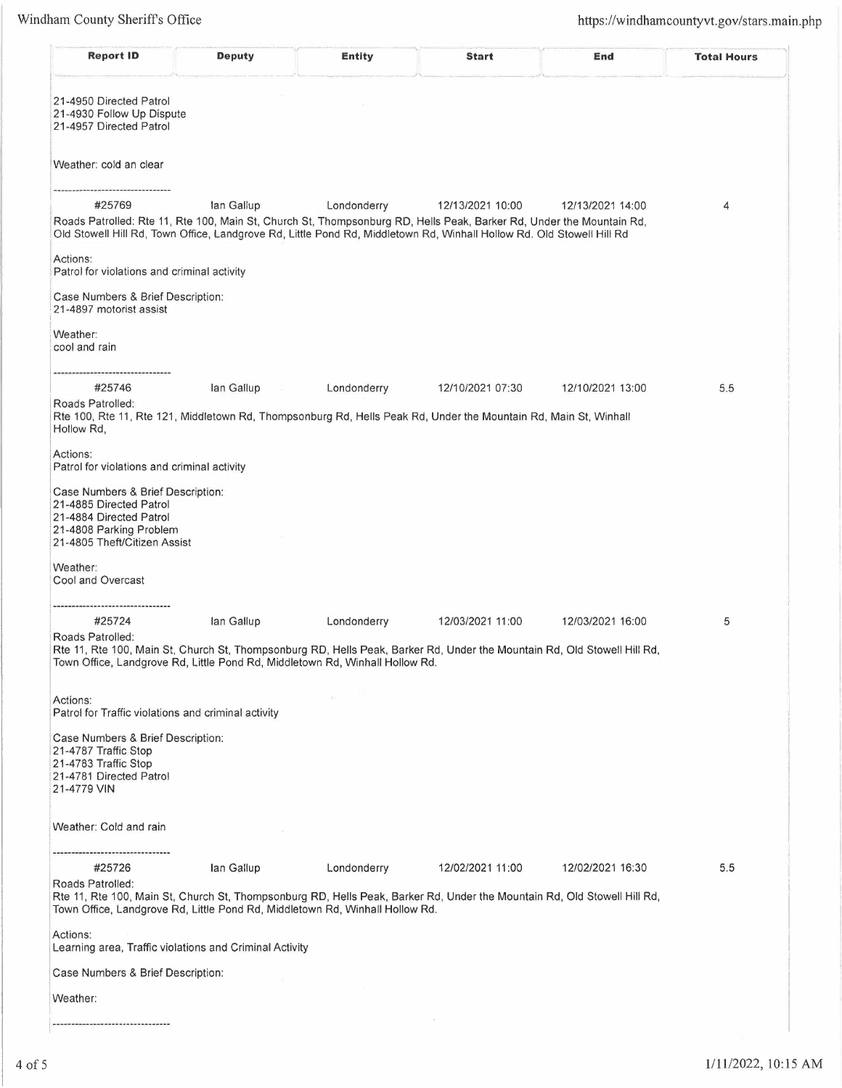;I

| <b>Report ID</b>                                                                                                                                   | <b>Deputy</b>                                                                | <b>Entity</b> | <b>Start</b>                                                                                                                                                                                                                                                      | End              | <b>Total Hours</b> |
|----------------------------------------------------------------------------------------------------------------------------------------------------|------------------------------------------------------------------------------|---------------|-------------------------------------------------------------------------------------------------------------------------------------------------------------------------------------------------------------------------------------------------------------------|------------------|--------------------|
| 21-4950 Directed Patrol<br>21-4930 Follow Up Dispute<br>21-4957 Directed Patrol                                                                    |                                                                              |               |                                                                                                                                                                                                                                                                   |                  |                    |
| Weather: cold an clear                                                                                                                             |                                                                              |               |                                                                                                                                                                                                                                                                   |                  |                    |
| #25769                                                                                                                                             | lan Gallup                                                                   | Londonderry   | 12/13/2021 10:00<br>Roads Patrolled: Rte 11, Rte 100, Main St, Church St, Thompsonburg RD, Hells Peak, Barker Rd, Under the Mountain Rd,<br>Old Stowell Hill Rd, Town Office, Landgrove Rd, Little Pond Rd, Middletown Rd, Winhall Hollow Rd. Old Stowell Hill Rd | 12/13/2021 14:00 | 4                  |
| Actions:<br>Patrol for violations and criminal activity                                                                                            |                                                                              |               |                                                                                                                                                                                                                                                                   |                  |                    |
| Case Numbers & Brief Description:<br>21-4897 motorist assist                                                                                       |                                                                              |               |                                                                                                                                                                                                                                                                   |                  |                    |
| Weather:<br>cool and rain                                                                                                                          |                                                                              |               |                                                                                                                                                                                                                                                                   |                  |                    |
| #25746<br>Roads Patrolled:                                                                                                                         | lan Gallup                                                                   | Londonderry   | 12/10/2021 07:30                                                                                                                                                                                                                                                  | 12/10/2021 13:00 | 5.5                |
| Hollow Rd,                                                                                                                                         |                                                                              |               | Rte 100, Rte 11, Rte 121, Middletown Rd, Thompsonburg Rd, Hells Peak Rd, Under the Mountain Rd, Main St, Winhall                                                                                                                                                  |                  |                    |
| Actions:<br>Patrol for violations and criminal activity                                                                                            |                                                                              |               |                                                                                                                                                                                                                                                                   |                  |                    |
| Case Numbers & Brief Description:<br>21-4885 Directed Patrol<br>21-4884 Directed Patrol<br>21-4808 Parking Problem<br>21-4805 Theft/Citizen Assist |                                                                              |               |                                                                                                                                                                                                                                                                   |                  |                    |
| Weather:<br>Cool and Overcast                                                                                                                      |                                                                              |               |                                                                                                                                                                                                                                                                   |                  |                    |
| <br>#25724                                                                                                                                         | lan Gallup                                                                   | Londonderry   | 12/03/2021 11:00                                                                                                                                                                                                                                                  | 12/03/2021 16:00 | 5                  |
| Roads Patrolled:                                                                                                                                   | Town Office, Landgrove Rd, Little Pond Rd, Middletown Rd, Winhall Hollow Rd. |               | Rte 11, Rte 100, Main St, Church St, Thompsonburg RD, Hells Peak, Barker Rd, Under the Mountain Rd, Old Stowell Hill Rd,                                                                                                                                          |                  |                    |
| Actions:                                                                                                                                           |                                                                              |               |                                                                                                                                                                                                                                                                   |                  |                    |
| Patrol for Traffic violations and criminal activity                                                                                                |                                                                              |               |                                                                                                                                                                                                                                                                   |                  |                    |
| Case Numbers & Brief Description:<br>21-4787 Traffic Stop<br>21-4783 Traffic Stop<br>21-4781 Directed Patrol<br>21-4779 VIN                        |                                                                              |               |                                                                                                                                                                                                                                                                   |                  |                    |
| Weather: Cold and rain                                                                                                                             |                                                                              |               |                                                                                                                                                                                                                                                                   |                  |                    |
| #25726                                                                                                                                             | lan Gallup                                                                   | Londonderry   | 12/02/2021 11:00                                                                                                                                                                                                                                                  | 12/02/2021 16:30 | 5.5                |
| Roads Patrolled:<br>Town Office, Landgrove Rd, Little Pond Rd, Middletown Rd, Winhall Hollow Rd.                                                   |                                                                              |               | Rte 11, Rte 100, Main St, Church St, Thompsonburg RD, Hells Peak, Barker Rd, Under the Mountain Rd, Old Stowell Hill Rd,                                                                                                                                          |                  |                    |
| Actions:<br>Learning area, Traffic violations and Criminal Activity                                                                                |                                                                              |               |                                                                                                                                                                                                                                                                   |                  |                    |
| Case Numbers & Brief Description:                                                                                                                  |                                                                              |               |                                                                                                                                                                                                                                                                   |                  |                    |
| Weather:                                                                                                                                           |                                                                              |               |                                                                                                                                                                                                                                                                   |                  |                    |
|                                                                                                                                                    |                                                                              |               |                                                                                                                                                                                                                                                                   |                  |                    |